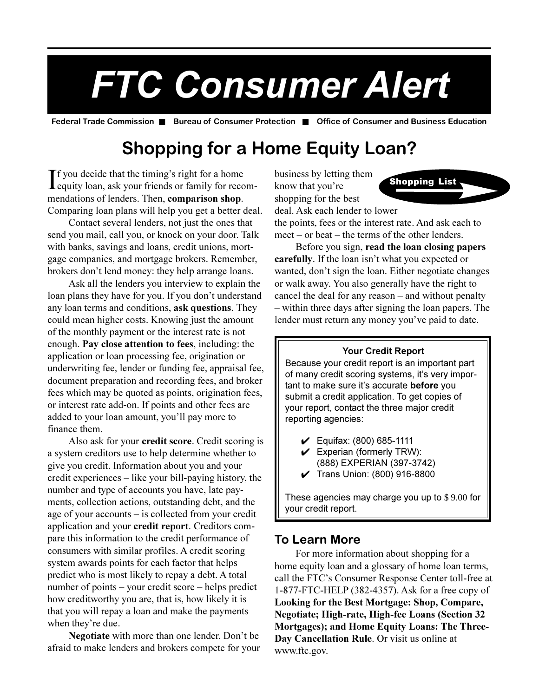# *FTC Consumer Alert*

**Federal Trade Commission** ■ **Bureau of Consumer Protection** ■ **Office of Consumer and Business Education**

## **Shopping for a Home Equity Loan?**

If you decide that the timing's right for a home<br>equity loan, ask your friends or family for recom- $\mathbf{I}$  f you decide that the timing's right for a home mendations of lenders. Then, **comparison shop**. Comparing loan plans will help you get a better deal.

Contact several lenders, not just the ones that send you mail, call you, or knock on your door. Talk with banks, savings and loans, credit unions, mortgage companies, and mortgage brokers. Remember, brokers don't lend money: they help arrange loans.

Ask all the lenders you interview to explain the loan plans they have for you. If you don't understand any loan terms and conditions, **ask questions**. They could mean higher costs. Knowing just the amount of the monthly payment or the interest rate is not enough. **Pay close attention to fees**, including: the application or loan processing fee, origination or underwriting fee, lender or funding fee, appraisal fee, document preparation and recording fees, and broker fees which may be quoted as points, origination fees, or interest rate add-on. If points and other fees are added to your loan amount, you'll pay more to finance them.

Also ask for your **credit score**. Credit scoring is a system creditors use to help determine whether to give you credit. Information about you and your credit experiences  $-$  like your bill-paying history, the number and type of accounts you have, late payments, collection actions, outstanding debt, and the age of your accounts  $-$  is collected from your credit application and your **credit report**. Creditors compare this information to the credit performance of consumers with similar profiles. A credit scoring system awards points for each factor that helps predict who is most likely to repay a debt. A total number of points  $-$  your credit score  $-$  helps predict how creditworthy you are, that is, how likely it is that you will repay a loan and make the payments when they're due.

**Negotiate** with more than one lender. Don't be afraid to make lenders and brokers compete for your business by letting them know that you're shopping for the best deal. Ask each lender to lower



the points, fees or the interest rate. And ask each to  $meet - or beat - the terms of the other lenders.$ 

Before you sign, **read the loan closing papers carefully**. If the loan isn't what you expected or wanted, don't sign the loan. Either negotiate changes or walk away. You also generally have the right to cancel the deal for any reason  $-$  and without penalty - within three days after signing the loan papers. The lender must return any money you've paid to date.

#### **Your Credit Report**

Because your credit report is an important part of many credit scoring systems, it's very important to make sure it's accurate **before** you submit a credit application. To get copies of your report, contact the three major credit reporting agencies:

- $\checkmark$  Equifax: (800) 685-1111
- $\swarrow$  Experian (formerly TRW): (888) EXPERIAN (397-3742)
- 4 Trans Union: (800) 916-8800

These agencies may charge you up to \$ 9.00 for your credit report.

#### **To Learn More**

For more information about shopping for a home equity loan and a glossary of home loan terms, call the FTC's Consumer Response Center toll-free at 1-877-FTC-HELP (382-4357). Ask for a free copy of **Looking for the Best Mortgage: Shop, Compare, Negotiate; High-rate, High-fee Loans (Section 32 Mortgages); and Home Equity Loans: The Three-Day Cancellation Rule**. Or visit us online at www.ftc.gov.